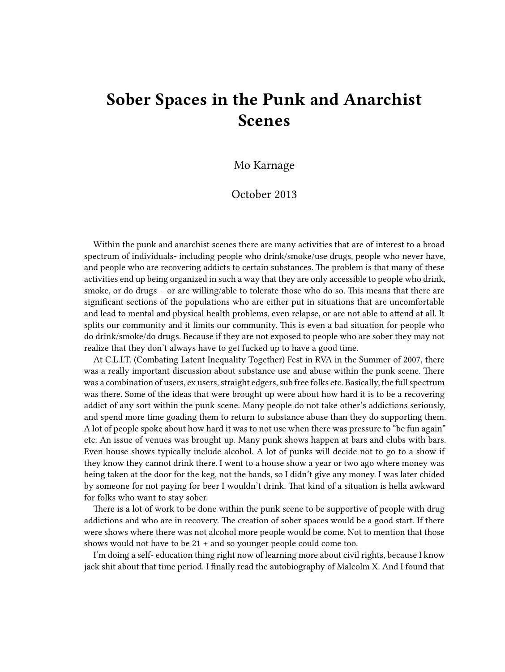## **Sober Spaces in the Punk and Anarchist Scenes**

Mo Karnage

## October 2013

Within the punk and anarchist scenes there are many activities that are of interest to a broad spectrum of individuals- including people who drink/smoke/use drugs, people who never have, and people who are recovering addicts to certain substances. The problem is that many of these activities end up being organized in such a way that they are only accessible to people who drink, smoke, or do drugs – or are willing/able to tolerate those who do so. This means that there are significant sections of the populations who are either put in situations that are uncomfortable and lead to mental and physical health problems, even relapse, or are not able to attend at all. It splits our community and it limits our community. This is even a bad situation for people who do drink/smoke/do drugs. Because if they are not exposed to people who are sober they may not realize that they don't always have to get fucked up to have a good time.

At C.L.I.T. (Combating Latent Inequality Together) Fest in RVA in the Summer of 2007, there was a really important discussion about substance use and abuse within the punk scene. There was a combination of users, ex users, straight edgers, sub free folks etc. Basically, the full spectrum was there. Some of the ideas that were brought up were about how hard it is to be a recovering addict of any sort within the punk scene. Many people do not take other's addictions seriously, and spend more time goading them to return to substance abuse than they do supporting them. A lot of people spoke about how hard it was to not use when there was pressure to "be fun again" etc. An issue of venues was brought up. Many punk shows happen at bars and clubs with bars. Even house shows typically include alcohol. A lot of punks will decide not to go to a show if they know they cannot drink there. I went to a house show a year or two ago where money was being taken at the door for the keg, not the bands, so I didn't give any money. I was later chided by someone for not paying for beer I wouldn't drink. That kind of a situation is hella awkward for folks who want to stay sober.

There is a lot of work to be done within the punk scene to be supportive of people with drug addictions and who are in recovery. The creation of sober spaces would be a good start. If there were shows where there was not alcohol more people would be come. Not to mention that those shows would not have to be 21 + and so younger people could come too.

I'm doing a self- education thing right now of learning more about civil rights, because I know jack shit about that time period. I finally read the autobiography of Malcolm X. And I found that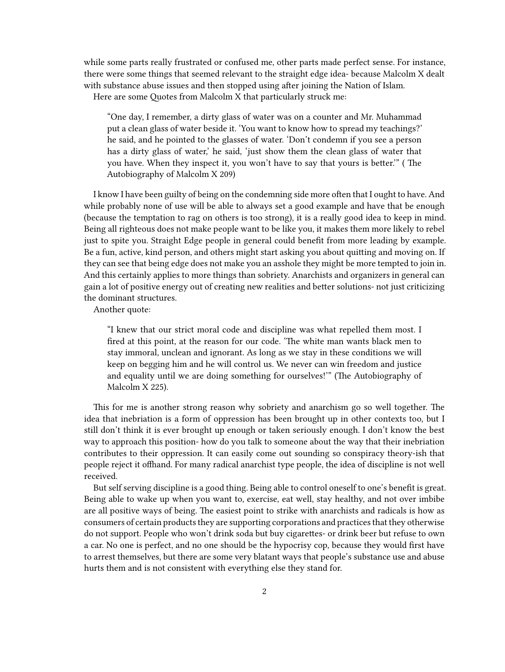while some parts really frustrated or confused me, other parts made perfect sense. For instance, there were some things that seemed relevant to the straight edge idea- because Malcolm X dealt with substance abuse issues and then stopped using after joining the Nation of Islam.

Here are some Quotes from Malcolm X that particularly struck me:

"One day, I remember, a dirty glass of water was on a counter and Mr. Muhammad put a clean glass of water beside it. 'You want to know how to spread my teachings?' he said, and he pointed to the glasses of water. 'Don't condemn if you see a person has a dirty glass of water,' he said, 'just show them the clean glass of water that you have. When they inspect it, you won't have to say that yours is better.'" ( The Autobiography of Malcolm X 209)

I know I have been guilty of being on the condemning side more often that I ought to have. And while probably none of use will be able to always set a good example and have that be enough (because the temptation to rag on others is too strong), it is a really good idea to keep in mind. Being all righteous does not make people want to be like you, it makes them more likely to rebel just to spite you. Straight Edge people in general could benefit from more leading by example. Be a fun, active, kind person, and others might start asking you about quitting and moving on. If they can see that being edge does not make you an asshole they might be more tempted to join in. And this certainly applies to more things than sobriety. Anarchists and organizers in general can gain a lot of positive energy out of creating new realities and better solutions- not just criticizing the dominant structures.

Another quote:

"I knew that our strict moral code and discipline was what repelled them most. I fired at this point, at the reason for our code. 'The white man wants black men to stay immoral, unclean and ignorant. As long as we stay in these conditions we will keep on begging him and he will control us. We never can win freedom and justice and equality until we are doing something for ourselves!'" (The Autobiography of Malcolm X 225).

This for me is another strong reason why sobriety and anarchism go so well together. The idea that inebriation is a form of oppression has been brought up in other contexts too, but I still don't think it is ever brought up enough or taken seriously enough. I don't know the best way to approach this position- how do you talk to someone about the way that their inebriation contributes to their oppression. It can easily come out sounding so conspiracy theory-ish that people reject it offhand. For many radical anarchist type people, the idea of discipline is not well received.

But self serving discipline is a good thing. Being able to control oneself to one's benefit is great. Being able to wake up when you want to, exercise, eat well, stay healthy, and not over imbibe are all positive ways of being. The easiest point to strike with anarchists and radicals is how as consumers of certain products they are supporting corporations and practices that they otherwise do not support. People who won't drink soda but buy cigarettes- or drink beer but refuse to own a car. No one is perfect, and no one should be the hypocrisy cop, because they would first have to arrest themselves, but there are some very blatant ways that people's substance use and abuse hurts them and is not consistent with everything else they stand for.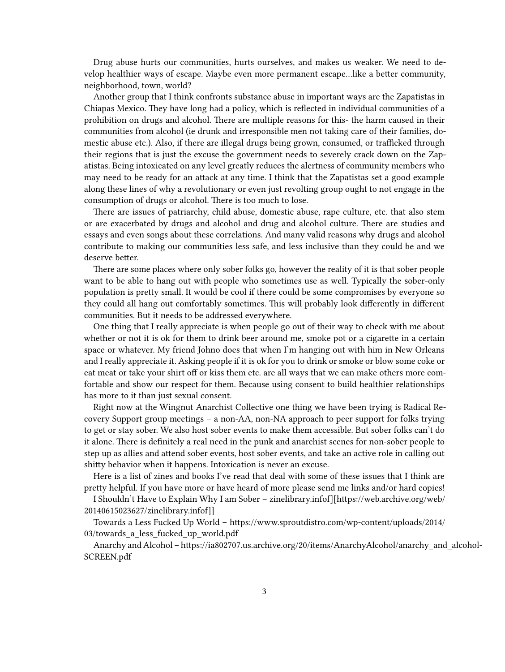Drug abuse hurts our communities, hurts ourselves, and makes us weaker. We need to develop healthier ways of escape. Maybe even more permanent escape…like a better community, neighborhood, town, world?

Another group that I think confronts substance abuse in important ways are the Zapatistas in Chiapas Mexico. They have long had a policy, which is reflected in individual communities of a prohibition on drugs and alcohol. There are multiple reasons for this- the harm caused in their communities from alcohol (ie drunk and irresponsible men not taking care of their families, domestic abuse etc.). Also, if there are illegal drugs being grown, consumed, or trafficked through their regions that is just the excuse the government needs to severely crack down on the Zapatistas. Being intoxicated on any level greatly reduces the alertness of community members who may need to be ready for an attack at any time. I think that the Zapatistas set a good example along these lines of why a revolutionary or even just revolting group ought to not engage in the consumption of drugs or alcohol. There is too much to lose.

There are issues of patriarchy, child abuse, domestic abuse, rape culture, etc. that also stem or are exacerbated by drugs and alcohol and drug and alcohol culture. There are studies and essays and even songs about these correlations. And many valid reasons why drugs and alcohol contribute to making our communities less safe, and less inclusive than they could be and we deserve better.

There are some places where only sober folks go, however the reality of it is that sober people want to be able to hang out with people who sometimes use as well. Typically the sober-only population is pretty small. It would be cool if there could be some compromises by everyone so they could all hang out comfortably sometimes. This will probably look differently in different communities. But it needs to be addressed everywhere.

One thing that I really appreciate is when people go out of their way to check with me about whether or not it is ok for them to drink beer around me, smoke pot or a cigarette in a certain space or whatever. My friend Johno does that when I'm hanging out with him in New Orleans and I really appreciate it. Asking people if it is ok for you to drink or smoke or blow some coke or eat meat or take your shirt off or kiss them etc. are all ways that we can make others more comfortable and show our respect for them. Because using consent to build healthier relationships has more to it than just sexual consent.

Right now at the Wingnut Anarchist Collective one thing we have been trying is Radical Recovery Support group meetings – a non-AA, non-NA approach to peer support for folks trying to get or stay sober. We also host sober events to make them accessible. But sober folks can't do it alone. There is definitely a real need in the punk and anarchist scenes for non-sober people to step up as allies and attend sober events, host sober events, and take an active role in calling out shitty behavior when it happens. Intoxication is never an excuse.

Here is a list of zines and books I've read that deal with some of these issues that I think are pretty helpful. If you have more or have heard of more please send me links and/or hard copies!

I Shouldn't Have to Explain Why I am Sober – [zinelibrary.infof](https://web.archive.org/web/20140615023627/%5B%5Bhttp://zinelibrary.info/files/sober%20zine%20final.pd)][https://web.archive.org/web/ 20140615023627/[zinelibrary.infof](http://zinelibrary.info/files/sober%20zine%20final.pd)]]

Towards a Less Fucked Up World – [https://www.sproutdistro.com/wp-content/uploads/2014/](https://www.sproutdistro.com/wp-content/uploads/2014/03/towards_a_less_fucked_up_world.pdf) 03/towards a less fucked up world.pdf

Anarchy and Alcohol – [https://ia802707.us.archive.org/20/items/AnarchyAlcohol/anarchy\\_and\\_alcohol-](https://ia802707.us.archive.org/20/items/AnarchyAlcohol/anarchy_and_alcohol-SCREEN.pdf)[SCREEN.pdf](https://ia802707.us.archive.org/20/items/AnarchyAlcohol/anarchy_and_alcohol-SCREEN.pdf)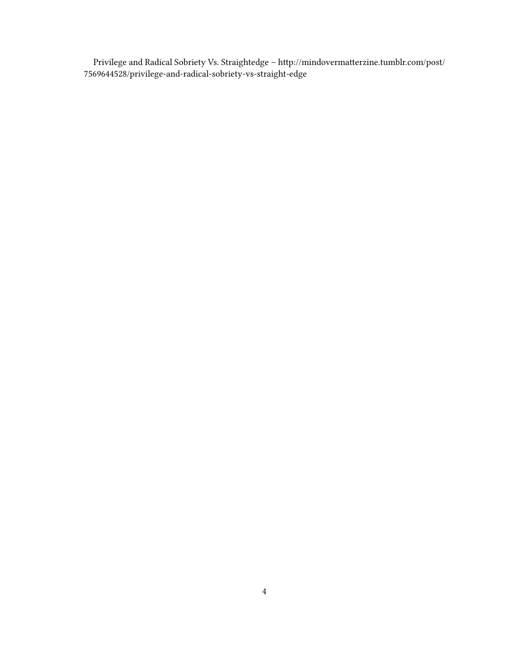Privilege and Radical Sobriety Vs. Straightedge – http://mindovermatterzine.tumblr.com/post/ 7569644528/privilege-and-radical-sobriety-vs-straight-edge